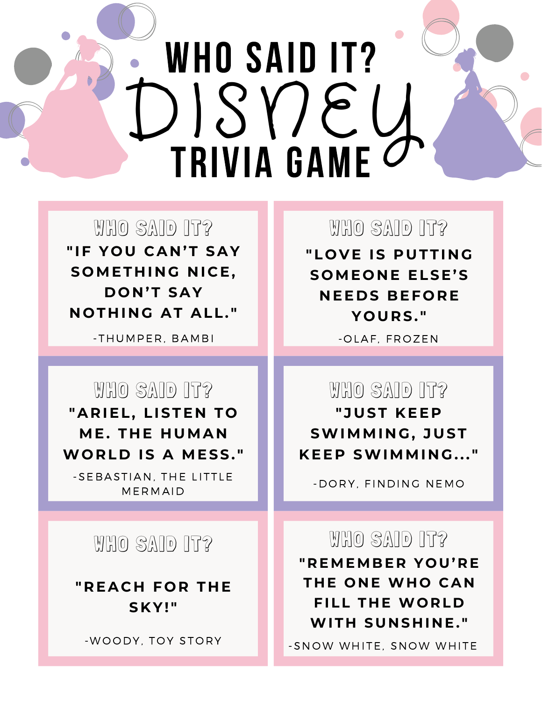# WHO SAID IT? TRIVIA GAME C DISNEY

WHO SAID IT? THE MHO SAID IT? **" IF Y O U CA N 'T SAY**  $S$  **OMETHING NICE, D O N 'T SAY N O T H I N G AT ALL. "**

**CHORES IN MY ROOM CHORES IN MY ROOM** - THUMPE R , B AMB I - O L A F , F R O ZEN

# WHO SAID IT?

**"AR IEL, LISTE N T O ME. THE HUMAN WO R L D IS A MESS. "**

-SEBASTIAN, THE LITTLE **MERMAID** 

# WHO SAID IT?

**" R EAC H F O R T H E S K Y! "**

## WHO SAID IT?

**"L O V E IS PUTTI N G S OME O N E ELSE'S N EE D S BEF O R E Y O UR S. "**

# WHO SAID IT?

**" JUST K EE P SWIMMI N G, JUST K EE P SWIMMI N G. . . "**

-DORY, FINDING NEMO

## WHO SAID IT?

**" R EMEMBE R Y O U' R E T H E O N E WH O CA N FILL THE WORLD**  $MITH$  SUNSHINE."

-WOODY, TOY STORY **A MALL AND A SN OW WHITE, SNOW WHITE**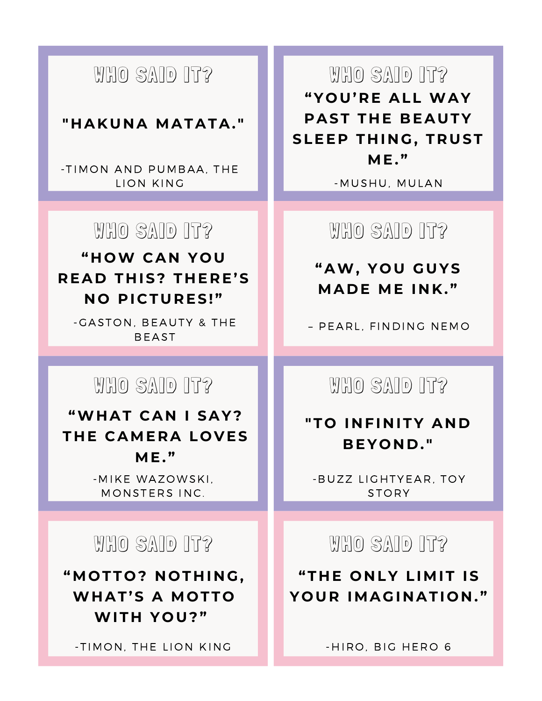# WHO SAID IT?

#### **" H AKU N A MATATA. "**

- TIMON AND PUMBAA. THE L I O N KING -MUSHU, MUL AN

## WHO SAID IT?

#### **" H OW CA N Y O U R EA D T H IS? T H E R E'S N O P I C TUR ES! "**

**CHORES IN MY ROOM CHORES IN MY ROOM** – PE A R L , F INDING NEMO -GASTON, BEAUTY & THE **BEAST** 

# WHO SAID IT?

**"WH AT CA N I SAY? T H E CAME RA L O V ES ME. "**

> -MIKE WAZOWSKI. MONSTERS INC.

## WHO SAID IT?

**"MO TT O ? N O T H I N G, WH AT'S A MO TT O WIT H Y O U? "**

- TIMON, THE LION KING

WHO SAID IT? **"Y O U' R E ALL WAY PAST THE BEAUTY SLEE P T H I N G, T RUST ME. "**

WHO SAID IT?

**"AW, Y O U GUYS MA D E ME I N K . "**

WHO SAID IT?

#### **"T O I N FI N ITY A N D BEY O N D . "**

- BUZZ LIGHTYEAR, TOY STORY

WHO SAID IT?

**"T H E O N LY LIMIT IS Y O UR IMAGI N ATI O N . "**

-HIRO, BIG HERO 6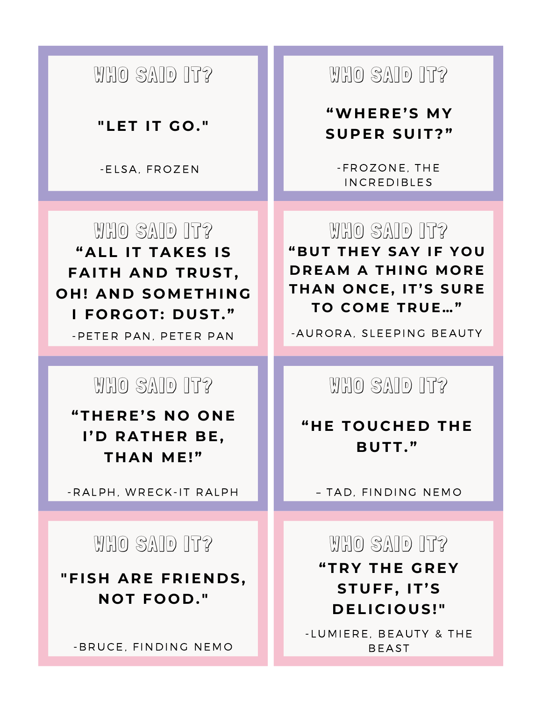# WHO SAID IT?

#### **"LET IT G O . "**

# WHO SAID IT? **"ALL IT TAK ES IS**  $FAITH$   $AND$   $TRUST$ , **O H ! A N D S OMET H I N G I F O RG O T: D UST. "**

## WHO SAID IT?

**"T H E R E'S N O O N E I' D RAT H E R BE, T H A N ME! "**

- RALPH, WRECK-IT RALPH

# WHO SAID IT?

**"FIS H AR E F R IE N D S, N O T F O O D . "**

- BRUCE, FINDING NEMO

# WHO SAID IT?

#### **"WH E R E'S MY SUP E R SUIT? "**

-ELSA, FROZEN - FROZONE, THE **INCREDIBLES** 

> WHO SAID IT? **"BUT T H EY SAY IF Y O U DREAM A THING MORE T H A N O N C E, IT'S SUR E T O C OME T RUE…"**

**CHORES IN CHORES IN CHORES IN CHORES INCORA**, SLEEPING BEAUTY

WHO SAID IT?

#### **" H E T O UC H E D T H E BUTT. "**

– T AD, F INDING NEMO

# WHO SAID IT? **"T R Y T H E GR EY STUFF, IT'S D ELI C I O US! "**

- LUMIERE, BEAUTY & THE **BEAST**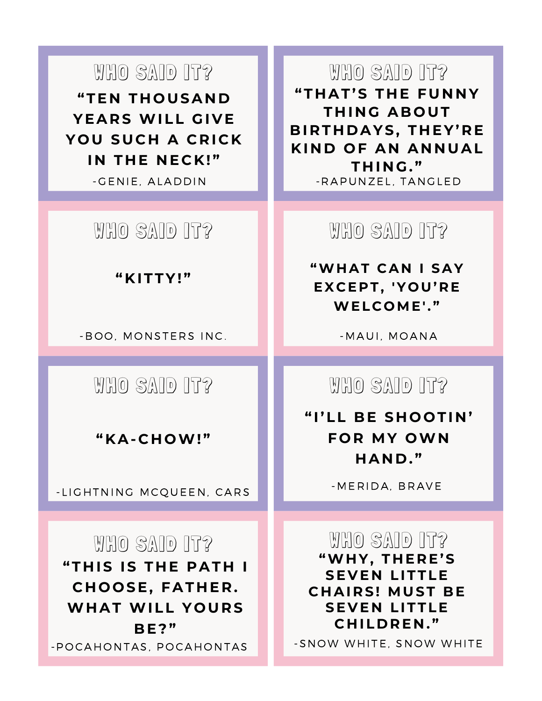WHO SAID IT? **"TE N T H O USA N D YEAR S WILL GI V E Y O U SUC H A C R I C K I N T H E N E C K ! "**



#### **" K ITTY! "**

**CHORES IN MY ROOM CHORES IN MY ROOM** - B O O , MO NSTE R S INC . -MAUI , MO ANA

WHO SAID IT?

**" KA- C H OW! "**

-LIGHTNING MCQUEEN, CARS

WHO SAID IT? **"T H IS IS T H E PAT H I C H O O SE, FAT H E R . WH AT WILL Y O UR S BE? "** -POCAHONTAS, POCAHONTAS

WHO SAID IT? **"T H AT'S T H E FU N N Y T H I N G AB O UT BI R T H D AYS, T H EY' R E K I N D O F A N A N N UAL T H I N G. "** -GENIE, ALADDIN - RAPUNZEL, TANGLED

WHO SAID IT?

**"WH AT CA N I SAY E X C E P T, 'Y O U' R E WEL C OME' . "**

WHO SAID IT?

**" I'LL BE S H O O TI N ' F O R MY OWN H A N D . "**

-MERIDA, BRAVE

WHO SAID IT? **"WH Y, T H E R E'S SEVEN LITTLE C H AI R S! MUST BE SE V E N LITTLE C H IL D R E N . "**

-SNOW WHITE, SNOW WHITE